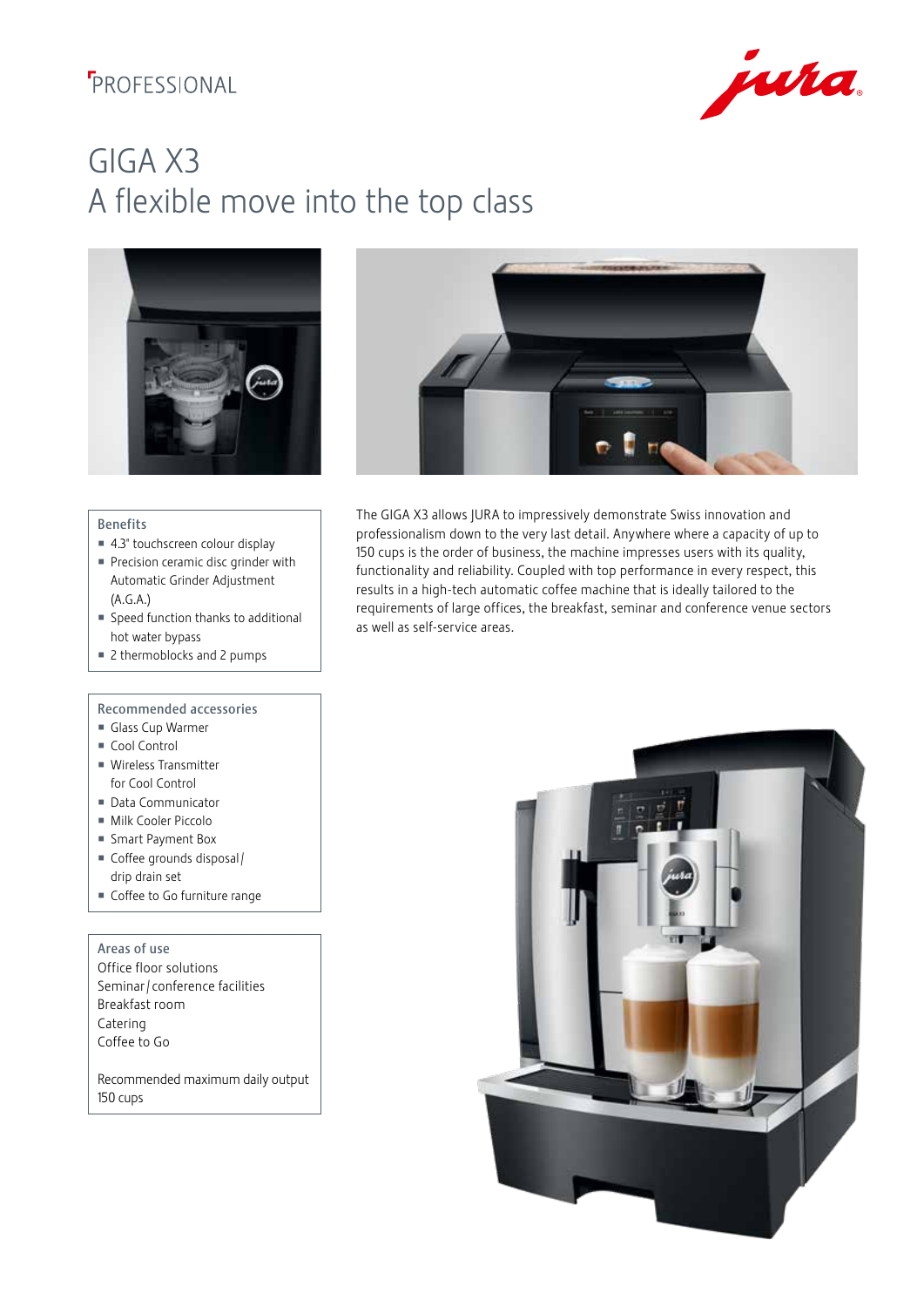## **F**PROFESSIONAL



# GIGA X3 A flexible move into the top class





The GIGA X3 allows JURA to impressively demonstrate Swiss innovation and professionalism down to the very last detail. Anywhere where a capacity of up to 150 cups is the order of business, the machine impresses users with its quality, functionality and reliability. Coupled with top performance in every respect, this results in a high-tech automatic coffee machine that is ideally tailored to the requirements of large offices, the breakfast, seminar and conference venue sectors

as well as self-service areas.

#### Benefits

- 4.3" touchscreen colour display
- Precision ceramic disc grinder with Automatic Grinder Adjustment (A.G.A.)
- Speed function thanks to additional hot water bypass
- 2 thermoblocks and 2 pumps

### Recommended accessories

- Glass Cup Warmer
- Cool Control
- Wireless Transmitter for Cool Control
- Data Communicator
- Milk Cooler Piccolo
- Smart Payment Box
- Coffee grounds disposal / drip drain set
- Coffee to Go furniture range

Areas of use Office floor solutions Seminar / conference facilities Breakfast room Catering Coffee to Go

Recommended maximum daily output 150 cups